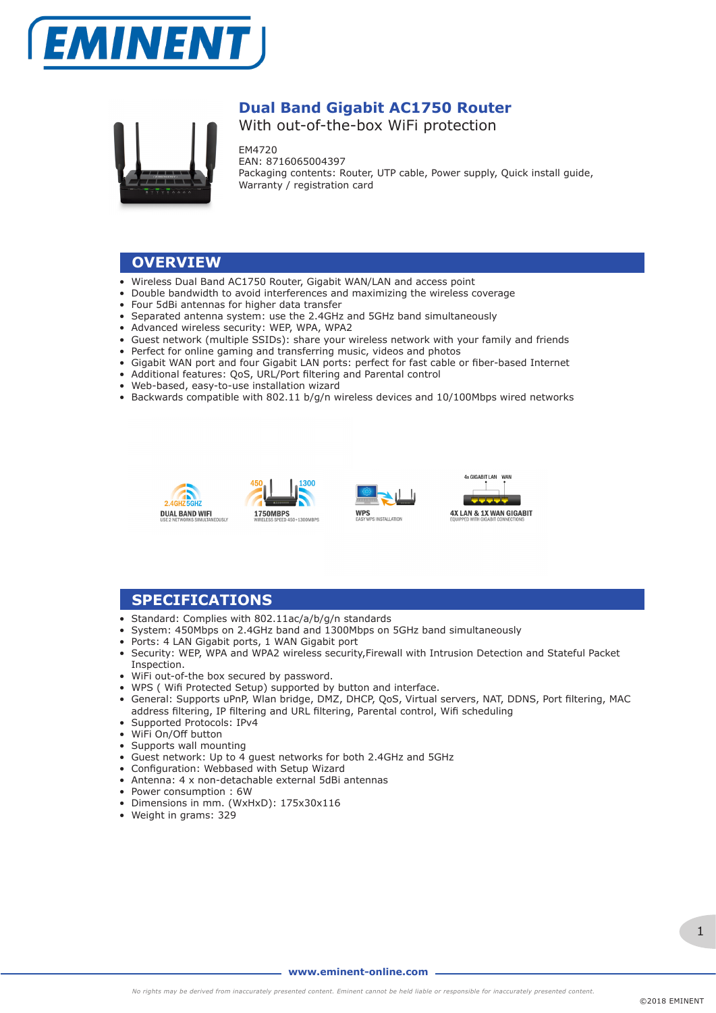



## **Dual Band Gigabit AC1750 Router**

With out-of-the-box WiFi protection

EM4720 EAN: 8716065004397 Packaging contents: Router, UTP cable, Power supply, Quick install guide, Warranty / registration card

### **OVERVIEW**

- Wireless Dual Band AC1750 Router, Gigabit WAN/LAN and access point
- Double bandwidth to avoid interferences and maximizing the wireless coverage
- Four 5dBi antennas for higher data transfer
- Separated antenna system: use the 2.4GHz and 5GHz band simultaneously
- Advanced wireless security: WEP, WPA, WPA2
- Guest network (multiple SSIDs): share your wireless network with your family and friends
- Perfect for online gaming and transferring music, videos and photos
- Gigabit WAN port and four Gigabit LAN ports: perfect for fast cable or fiber-based Internet
- Additional features: QoS, URL/Port filtering and Parental control
- Web-based, easy-to-use installation wizard
- Backwards compatible with 802.11 b/g/n wireless devices and 10/100Mbps wired networks







### **SPECIFICATIONS**

- Standard: Complies with 802.11ac/a/b/g/n standards
- System: 450Mbps on 2.4GHz band and 1300Mbps on 5GHz band simultaneously
- Ports: 4 LAN Gigabit ports, 1 WAN Gigabit port
- Security: WEP, WPA and WPA2 wireless security,Firewall with Intrusion Detection and Stateful Packet Inspection.
- WiFi out-of-the box secured by password.
- WPS ( Wifi Protected Setup) supported by button and interface.
- General: Supports uPnP, Wlan bridge, DMZ, DHCP, QoS, Virtual servers, NAT, DDNS, Port filtering, MAC address filtering, IP filtering and URL filtering, Parental control, Wifi scheduling
- Supported Protocols: IPv4
- WiFi On/Off button
- Supports wall mounting
- Guest network: Up to 4 guest networks for both 2.4GHz and 5GHz
- Configuration: Webbased with Setup Wizard
- Antenna: 4 x non-detachable external 5dBi antennas
- Power consumption : 6W
- Dimensions in mm. (WxHxD): 175x30x116
- Weight in grams: 329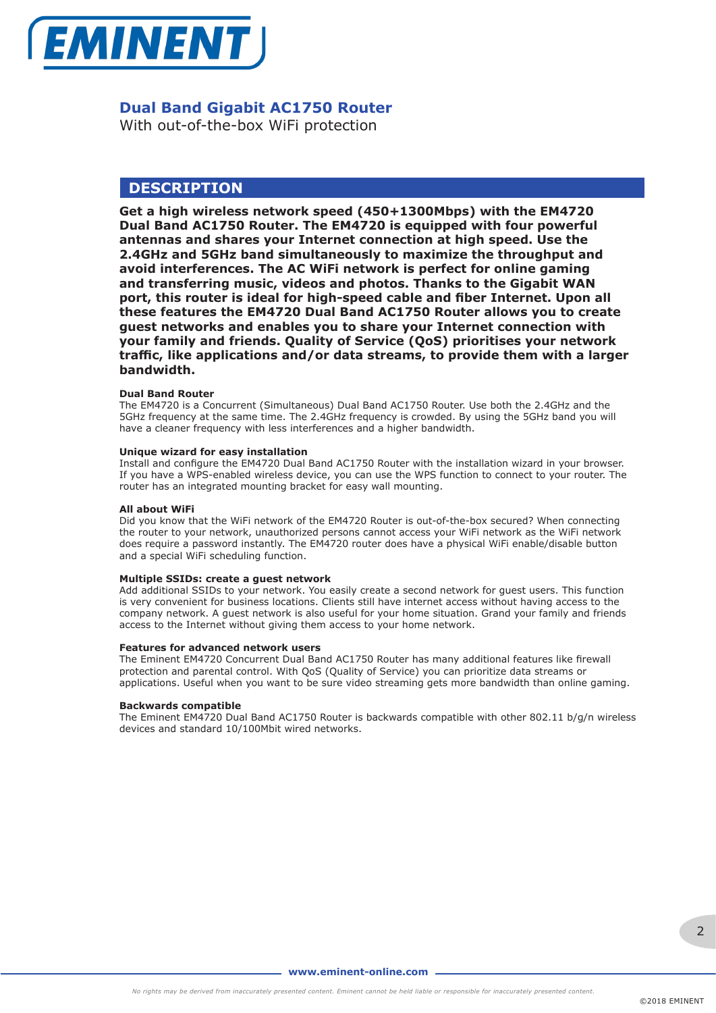

### **Dual Band Gigabit AC1750 Router**

With out-of-the-box WiFi protection

### **DESCRIPTION**

**Get a high wireless network speed (450+1300Mbps) with the EM4720 Dual Band AC1750 Router. The EM4720 is equipped with four powerful antennas and shares your Internet connection at high speed. Use the 2.4GHz and 5GHz band simultaneously to maximize the throughput and avoid interferences. The AC WiFi network is perfect for online gaming and transferring music, videos and photos. Thanks to the Gigabit WAN port, this router is ideal for high-speed cable and fiber Internet. Upon all these features the EM4720 Dual Band AC1750 Router allows you to create guest networks and enables you to share your Internet connection with your family and friends. Quality of Service (QoS) prioritises your network traffic, like applications and/or data streams, to provide them with a larger bandwidth.** 

#### **Dual Band Router**

The EM4720 is a Concurrent (Simultaneous) Dual Band AC1750 Router. Use both the 2.4GHz and the 5GHz frequency at the same time. The 2.4GHz frequency is crowded. By using the 5GHz band you will have a cleaner frequency with less interferences and a higher bandwidth.

#### **Unique wizard for easy installation**

Install and configure the EM4720 Dual Band AC1750 Router with the installation wizard in your browser. If you have a WPS-enabled wireless device, you can use the WPS function to connect to your router. The router has an integrated mounting bracket for easy wall mounting.

#### **All about WiFi**

Did you know that the WiFi network of the EM4720 Router is out-of-the-box secured? When connecting the router to your network, unauthorized persons cannot access your WiFi network as the WiFi network does require a password instantly. The EM4720 router does have a physical WiFi enable/disable button and a special WiFi scheduling function.

#### **Multiple SSIDs: create a guest network**

Add additional SSIDs to your network. You easily create a second network for guest users. This function is very convenient for business locations. Clients still have internet access without having access to the company network. A guest network is also useful for your home situation. Grand your family and friends access to the Internet without giving them access to your home network.

#### **Features for advanced network users**

The Eminent EM4720 Concurrent Dual Band AC1750 Router has many additional features like firewall protection and parental control. With QoS (Quality of Service) you can prioritize data streams or applications. Useful when you want to be sure video streaming gets more bandwidth than online gaming.

#### **Backwards compatible**

The Eminent EM4720 Dual Band AC1750 Router is backwards compatible with other 802.11 b/g/n wireless devices and standard 10/100Mbit wired networks.